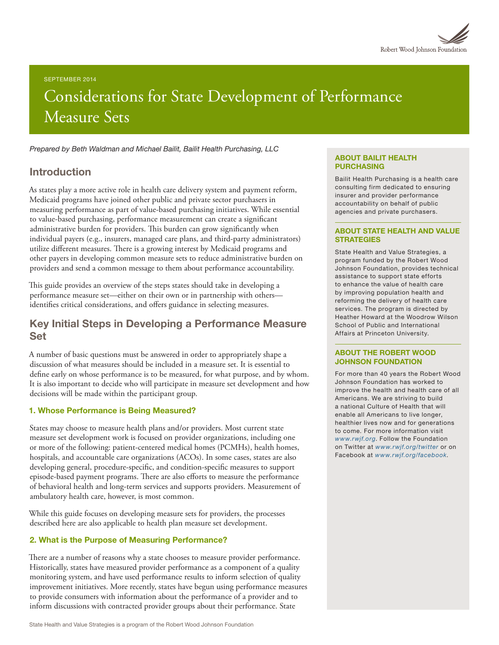

#### SEPTEMBER 2014

# Considerations for State Development of Performance Measure Sets

*Prepared by Beth Waldman and Michael Bailit, Bailit Health Purchasing, LLC*

# Introduction

As states play a more active role in health care delivery system and payment reform, Medicaid programs have joined other public and private sector purchasers in measuring performance as part of value-based purchasing initiatives. While essential to value-based purchasing, performance measurement can create a significant administrative burden for providers. This burden can grow significantly when individual payers (e.g., insurers, managed care plans, and third-party administrators) utilize different measures. There is a growing interest by Medicaid programs and other payers in developing common measure sets to reduce administrative burden on providers and send a common message to them about performance accountability.

This guide provides an overview of the steps states should take in developing a performance measure set—either on their own or in partnership with others identifies critical considerations, and offers guidance in selecting measures.

# Key Initial Steps in Developing a Performance Measure Set

A number of basic questions must be answered in order to appropriately shape a discussion of what measures should be included in a measure set. It is essential to define early on whose performance is to be measured, for what purpose, and by whom. It is also important to decide who will participate in measure set development and how decisions will be made within the participant group.

#### 1. Whose Performance is Being Measured?

States may choose to measure health plans and/or providers. Most current state measure set development work is focused on provider organizations, including one or more of the following: patient-centered medical homes (PCMHs), health homes, hospitals, and accountable care organizations (ACOs). In some cases, states are also developing general, procedure-specific, and condition-specific measures to support episode-based payment programs. There are also efforts to measure the performance of behavioral health and long-term services and supports providers. Measurement of ambulatory health care, however, is most common.

While this guide focuses on developing measure sets for providers, the processes described here are also applicable to health plan measure set development.

### 2. What is the Purpose of Measuring Performance?

There are a number of reasons why a state chooses to measure provider performance. Historically, states have measured provider performance as a component of a quality monitoring system, and have used performance results to inform selection of quality improvement initiatives. More recently, states have begun using performance measures to provide consumers with information about the performance of a provider and to inform discussions with contracted provider groups about their performance. State

#### ABOUT BAILIT HEALTH PURCHASING

Bailit Health Purchasing is a health care consulting firm dedicated to ensuring insurer and provider performance accountability on behalf of public agencies and private purchasers.

#### ABOUT STATE HEALTH AND VALUE **STRATEGIES**

State Health and Value Strategies, a program funded by the Robert Wood Johnson Foundation, provides technical assistance to support state efforts to enhance the value of health care by improving population health and reforming the delivery of health care services. The program is directed by Heather Howard at the Woodrow Wilson School of Public and International Affairs at Princeton University.

#### ABOUT THE ROBERT WOOD JOHNSON FOUNDATION

For more than 40 years the Robert Wood Johnson Foundation has worked to improve the health and health care of all Americans. We are striving to build a national Culture of Health that will enable all Americans to live longer, healthier lives now and for generations to come. For more information visit *[www.rwjf.org](http://www.rwjf.org/)*. Follow the Foundation on Twitter at *[www.rwjf.org/twitter](http://www.rwjf.org/twitter)* or on Facebook at *[www.rwjf.org/facebook](http://www.rwjf.org/facebook)*.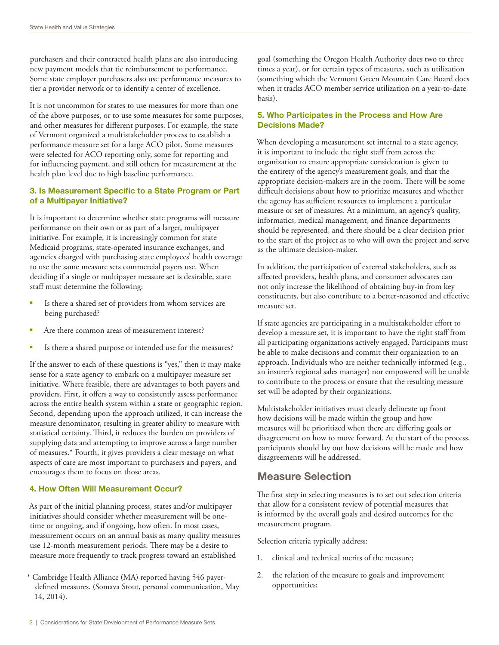purchasers and their contracted health plans are also introducing new payment models that tie reimbursement to performance. Some state employer purchasers also use performance measures to tier a provider network or to identify a center of excellence.

It is not uncommon for states to use measures for more than one of the above purposes, or to use some measures for some purposes, and other measures for different purposes. For example, the state of Vermont organized a multistakeholder process to establish a performance measure set for a large ACO pilot. Some measures were selected for ACO reporting only, some for reporting and for influencing payment, and still others for measurement at the health plan level due to high baseline performance.

# 3. Is Measurement Specific to a State Program or Part of a Multipayer Initiative?

It is important to determine whether state programs will measure performance on their own or as part of a larger, multipayer initiative. For example, it is increasingly common for state Medicaid programs, state-operated insurance exchanges, and agencies charged with purchasing state employees' health coverage to use the same measure sets commercial payers use. When deciding if a single or multipayer measure set is desirable, state staff must determine the following:

- Is there a shared set of providers from whom services are being purchased?
- Are there common areas of measurement interest?
- § Is there a shared purpose or intended use for the measures?

If the answer to each of these questions is "yes," then it may make sense for a state agency to embark on a multipayer measure set initiative. Where feasible, there are advantages to both payers and providers. First, it offers a way to consistently assess performance across the entire health system within a state or geographic region. Second, depending upon the approach utilized, it can increase the measure denominator, resulting in greater ability to measure with statistical certainty. Third, it reduces the burden on providers of supplying data and attempting to improve across a large number of measures.\* Fourth, it gives providers a clear message on what aspects of care are most important to purchasers and payers, and encourages them to focus on those areas.

### 4. How Often Will Measurement Occur?

As part of the initial planning process, states and/or multipayer initiatives should consider whether measurement will be onetime or ongoing, and if ongoing, how often. In most cases, measurement occurs on an annual basis as many quality measures use 12-month measurement periods. There may be a desire to measure more frequently to track progress toward an established

goal (something the Oregon Health Authority does two to three times a year), or for certain types of measures, such as utilization (something which the Vermont Green Mountain Care Board does when it tracks ACO member service utilization on a year-to-date basis).

# 5. Who Participates in the Process and How Are Decisions Made?

When developing a measurement set internal to a state agency, it is important to include the right staff from across the organization to ensure appropriate consideration is given to the entirety of the agency's measurement goals, and that the appropriate decision-makers are in the room. There will be some difficult decisions about how to prioritize measures and whether the agency has sufficient resources to implement a particular measure or set of measures. At a minimum, an agency's quality, informatics, medical management, and finance departments should be represented, and there should be a clear decision prior to the start of the project as to who will own the project and serve as the ultimate decision-maker.

In addition, the participation of external stakeholders, such as affected providers, health plans, and consumer advocates can not only increase the likelihood of obtaining buy-in from key constituents, but also contribute to a better-reasoned and effective measure set.

If state agencies are participating in a multistakeholder effort to develop a measure set, it is important to have the right staff from all participating organizations actively engaged. Participants must be able to make decisions and commit their organization to an approach. Individuals who are neither technically informed (e.g., an insurer's regional sales manager) nor empowered will be unable to contribute to the process or ensure that the resulting measure set will be adopted by their organizations.

Multistakeholder initiatives must clearly delineate up front how decisions will be made within the group and how measures will be prioritized when there are differing goals or disagreement on how to move forward. At the start of the process, participants should lay out how decisions will be made and how disagreements will be addressed.

# Measure Selection

The first step in selecting measures is to set out selection criteria that allow for a consistent review of potential measures that is informed by the overall goals and desired outcomes for the measurement program.

Selection criteria typically address:

- 1. clinical and technical merits of the measure;
- 2. the relation of the measure to goals and improvement opportunities;

<sup>\*</sup> Cambridge Health Alliance (MA) reported having 546 payerdefined measures. (Somava Stout, personal communication, May 14, 2014).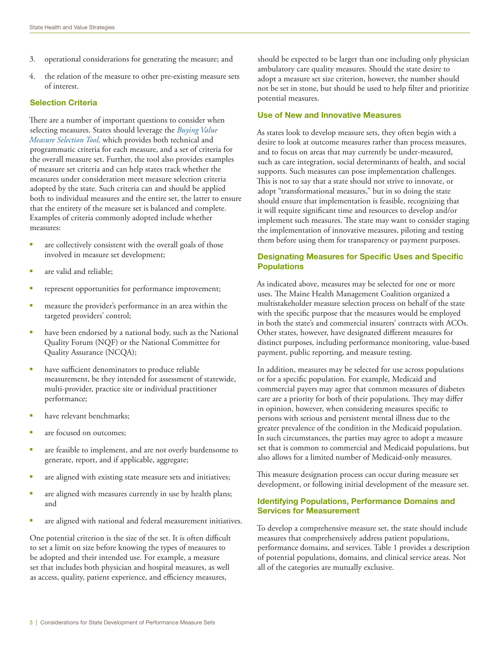- 3. operational considerations for generating the measure; and
- 4. the relation of the measure to other pre-existing measure sets of interest.

#### Selection Criteria

There are a number of important questions to consider when selecting measures. States should leverage the *[Buying Value](http://www.buyingvalue.org/)  [Measure Selection Tool,](http://www.buyingvalue.org/)* which provides both technical and programmatic criteria for each measure, and a set of criteria for the overall measure set. Further, the tool also provides examples of measure set criteria and can help states track whether the measures under consideration meet measure selection criteria adopted by the state. Such criteria can and should be applied both to individual measures and the entire set, the latter to ensure that the entirety of the measure set is balanced and complete. Examples of criteria commonly adopted include whether measures:

- are collectively consistent with the overall goals of those involved in measure set development;
- § are valid and reliable;
- represent opportunities for performance improvement;
- measure the provider's performance in an area within the targeted providers' control;
- have been endorsed by a national body, such as the National Quality Forum (NQF) or the National Committee for Quality Assurance (NCQA);
- have sufficient denominators to produce reliable measurement, be they intended for assessment of statewide, multi-provider, practice site or individual practitioner performance;
- have relevant benchmarks;
- § are focused on outcomes;
- are feasible to implement, and are not overly burdensome to generate, report, and if applicable, aggregate;
- are aligned with existing state measure sets and initiatives;
- are aligned with measures currently in use by health plans; and
- are aligned with national and federal measurement initiatives.

One potential criterion is the size of the set. It is often difficult to set a limit on size before knowing the types of measures to be adopted and their intended use. For example, a measure set that includes both physician and hospital measures, as well as access, quality, patient experience, and efficiency measures,

should be expected to be larger than one including only physician ambulatory care quality measures. Should the state desire to adopt a measure set size criterion, however, the number should not be set in stone, but should be used to help filter and prioritize potential measures.

#### Use of New and Innovative Measures

As states look to develop measure sets, they often begin with a desire to look at outcome measures rather than process measures, and to focus on areas that may currently be under-measured, such as care integration, social determinants of health, and social supports. Such measures can pose implementation challenges. This is not to say that a state should not strive to innovate, or adopt "transformational measures," but in so doing the state should ensure that implementation is feasible, recognizing that it will require significant time and resources to develop and/or implement such measures. The state may want to consider staging the implementation of innovative measures, piloting and testing them before using them for transparency or payment purposes.

# Designating Measures for Specific Uses and Specific **Populations**

As indicated above, measures may be selected for one or more uses. The Maine Health Management Coalition organized a multistakeholder measure selection process on behalf of the state with the specific purpose that the measures would be employed in both the state's and commercial insurers' contracts with ACOs. Other states, however, have designated different measures for distinct purposes, including performance monitoring, value-based payment, public reporting, and measure testing.

In addition, measures may be selected for use across populations or for a specific population. For example, Medicaid and commercial payers may agree that common measures of diabetes care are a priority for both of their populations. They may differ in opinion, however, when considering measures specific to persons with serious and persistent mental illness due to the greater prevalence of the condition in the Medicaid population. In such circumstances, the parties may agree to adopt a measure set that is common to commercial and Medicaid populations, but also allows for a limited number of Medicaid-only measures.

This measure designation process can occur during measure set development, or following initial development of the measure set.

### Identifying Populations, Performance Domains and Services for Measurement

To develop a comprehensive measure set, the state should include measures that comprehensively address patient populations, performance domains, and services. Table 1 provides a description of potential populations, domains, and clinical service areas. Not all of the categories are mutually exclusive.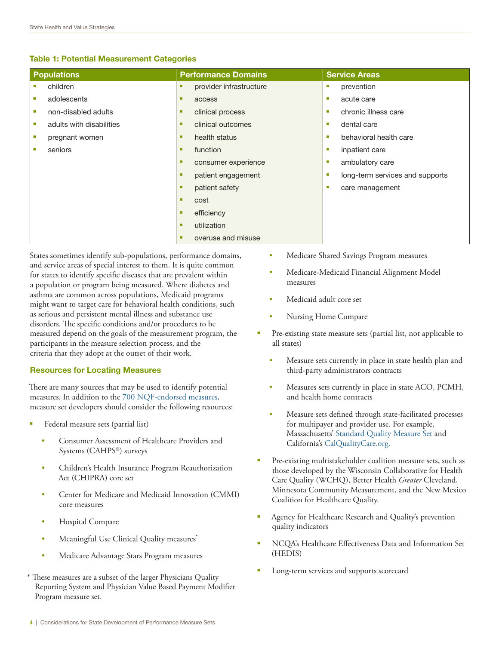### Table 1: Potential Measurement Categories

| <b>Populations</b>               | <b>Performance Domains</b>   | <b>Service Areas</b>                 |
|----------------------------------|------------------------------|--------------------------------------|
| children                         | provider infrastructure<br>٠ | prevention<br>×                      |
| adolescents<br><b>The Second</b> | п<br>access                  | acute care<br>п                      |
| non-disabled adults<br>u,        | clinical process<br>п        | chronic illness care<br>п            |
| adults with disabilities<br>ш    | clinical outcomes<br>п       | dental care<br>п                     |
| pregnant women<br>×              | health status<br>п           | behavioral health care<br>п          |
| seniors<br>п                     | function<br>п                | inpatient care<br>п                  |
|                                  | consumer experience<br>п     | ambulatory care<br>п                 |
|                                  | patient engagement<br>п      | long-term services and supports<br>п |
|                                  | patient safety<br>п          | care management<br>п                 |
|                                  | п<br>cost                    |                                      |
|                                  | efficiency<br>п              |                                      |
|                                  | utilization<br>п             |                                      |
|                                  | overuse and misuse<br>п      |                                      |

States sometimes identify sub-populations, performance domains, and service areas of special interest to them. It is quite common for states to identify specific diseases that are prevalent within a population or program being measured. Where diabetes and asthma are common across populations, Medicaid programs might want to target care for behavioral health conditions, such as serious and persistent mental illness and substance use disorders. The specific conditions and/or procedures to be measured depend on the goals of the measurement program, the participants in the measure selection process, and the criteria that they adopt at the outset of their work.

### Resources for Locating Measures

There are many sources that may be used to identify potential measures. In addition to the [700 NQF-endorsed measures,](http://www.qualityforum.org/Measures_List.aspx) measure set developers should consider the following resources:

- § Federal measure sets (partial list)
	- Consumer Assessment of Healthcare Providers and Systems (CAHPS©) surveys
	- Children's Health Insurance Program Reauthorization Act (CHIPRA) core set
	- Center for Medicare and Medicaid Innovation (CMMI) core measures
	- Hospital Compare
	- Meaningful Use Clinical Quality measures<sup>\*</sup>
	- Medicare Advantage Stars Program measures
- Medicare Shared Savings Program measures
- Medicare-Medicaid Financial Alignment Model measures
- Medicaid adult core set
- Nursing Home Compare
- Pre-existing state measure sets (partial list, not applicable to all states)
	- Measure sets currently in place in state health plan and third-party administrators contracts
	- Measures sets currently in place in state ACO, PCMH, and health home contracts
	- Measure sets defined through state-facilitated processes for multipayer and provider use. For example, Massachusetts' [Standard Quality Measure Set](http://www.mass.gov/chia/docs/g/sqac/2013/2013-final-report-appendix-b-standard-quality-measure-set.pdf) and California's [CalQualityCare.org.](http://www.CalQualityCare.org)
- Pre-existing multistakeholder coalition measure sets, such as those developed by the Wisconsin Collaborative for Health Care Quality (WCHQ), Better Health *Greater* Cleveland, Minnesota Community Measurement, and the New Mexico Coalition for Healthcare Quality.
- § Agency for Healthcare Research and Quality's prevention quality indicators
- § NCQA's Healthcare Effectiveness Data and Information Set (HEDIS)
- Long-term services and supports scorecard

<sup>\*</sup> These measures are a subset of the larger Physicians Quality Reporting System and Physician Value Based Payment Modifier Program measure set.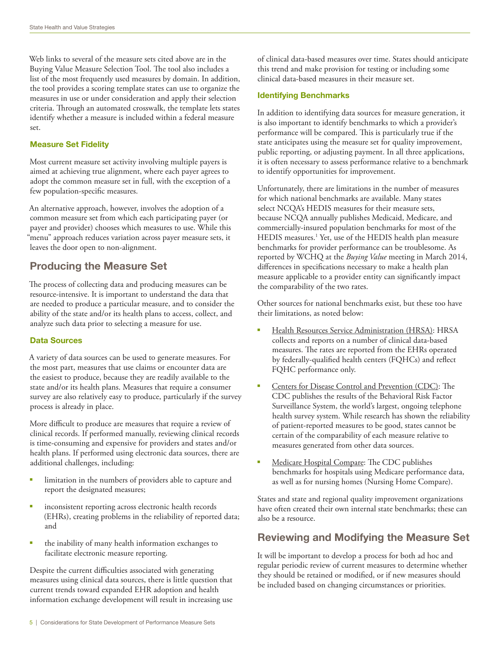Web links to several of the measure sets cited above are in the Buying Value Measure Selection Tool. The tool also includes a list of the most frequently used measures by domain. In addition, the tool provides a scoring template states can use to organize the measures in use or under consideration and apply their selection criteria. Through an automated crosswalk, the template lets states identify whether a measure is included within a federal measure set.

### Measure Set Fidelity

Most current measure set activity involving multiple payers is aimed at achieving true alignment, where each payer agrees to adopt the common measure set in full, with the exception of a few population-specific measures.

An alternative approach, however, involves the adoption of a common measure set from which each participating payer (or payer and provider) chooses which measures to use. While this "menu" approach reduces variation across payer measure sets, it leaves the door open to non-alignment.

# Producing the Measure Set

The process of collecting data and producing measures can be resource-intensive. It is important to understand the data that are needed to produce a particular measure, and to consider the ability of the state and/or its health plans to access, collect, and analyze such data prior to selecting a measure for use.

## Data Sources

A variety of data sources can be used to generate measures. For the most part, measures that use claims or encounter data are the easiest to produce, because they are readily available to the state and/or its health plans. Measures that require a consumer survey are also relatively easy to produce, particularly if the survey process is already in place.

More difficult to produce are measures that require a review of clinical records. If performed manually, reviewing clinical records is time-consuming and expensive for providers and states and/or health plans. If performed using electronic data sources, there are additional challenges, including:

- limitation in the numbers of providers able to capture and report the designated measures;
- inconsistent reporting across electronic health records (EHRs), creating problems in the reliability of reported data; and
- the inability of many health information exchanges to facilitate electronic measure reporting.

Despite the current difficulties associated with generating measures using clinical data sources, there is little question that current trends toward expanded EHR adoption and health information exchange development will result in increasing use of clinical data-based measures over time. States should anticipate this trend and make provision for testing or including some clinical data-based measures in their measure set.

### Identifying Benchmarks

In addition to identifying data sources for measure generation, it is also important to identify benchmarks to which a provider's performance will be compared. This is particularly true if the state anticipates using the measure set for quality improvement, public reporting, or adjusting payment. In all three applications, it is often necessary to assess performance relative to a benchmark to identify opportunities for improvement.

Unfortunately, there are limitations in the number of measures for which national benchmarks are available. Many states select NCQA's HEDIS measures for their measure sets, because NCQA annually publishes Medicaid, Medicare, and commercially-insured population benchmarks for most of the HEDIS measures.<sup>1</sup> Yet, use of the HEDIS health plan measure benchmarks for provider performance can be troublesome. As reported by WCHQ at the *Buying Value* meeting in March 2014, differences in specifications necessary to make a health plan measure applicable to a provider entity can significantly impact the comparability of the two rates.

Other sources for national benchmarks exist, but these too have their limitations, as noted below:

- § Health Resources Service Administration (HRSA): HRSA collects and reports on a number of clinical data-based measures. The rates are reported from the EHRs operated by federally-qualified health centers (FQHCs) and reflect FQHC performance only.
- § Centers for Disease Control and Prevention (CDC): The CDC publishes the results of the Behavioral Risk Factor Surveillance System, the world's largest, ongoing telephone health survey system. While research has shown the reliability of patient-reported measures to be good, states cannot be certain of the comparability of each measure relative to measures generated from other data sources.
- Medicare Hospital Compare: The CDC publishes benchmarks for hospitals using Medicare performance data, as well as for nursing homes (Nursing Home Compare).

States and state and regional quality improvement organizations have often created their own internal state benchmarks; these can also be a resource.

# Reviewing and Modifying the Measure Set

It will be important to develop a process for both ad hoc and regular periodic review of current measures to determine whether they should be retained or modified, or if new measures should be included based on changing circumstances or priorities.